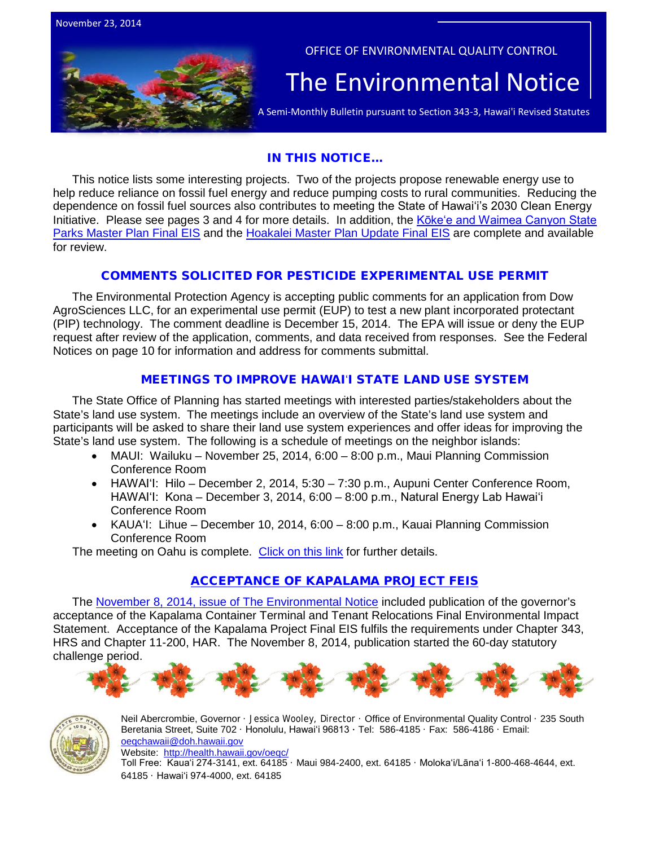



OFFICE OF ENVIRONMENTAL QUALITY CONTROL

# The Environmental Notice  $|\textrm{A semi-Monthly Bulletin pursuit to Section 343-3, Hawaii Revised Statutes}$

## IN THIS NOTICE...

This notice lists some interesting projects. Two of the projects propose renewable energy use to help reduce reliance on fossil fuel energy and reduce pumping costs to rural communities. Reducing the dependence on fossil fuel sources also contributes to meeting the State of Hawaiʻi's 2030 Clean Energy Initiative. Please see pages 3 and 4 for more details. In addition, the [Kōkeʻe and Waimea Canyon State](http://oeqc.doh.hawaii.gov/Shared%20Documents/EA_and_EIS_Online_Library/Kauai/2010s/2014-11-23-KA-5B-FEIS-Kokee-and-Waimea-Canyon-State-Parks-Master-Plan.pdf)  [Parks Master Plan Final EIS](http://oeqc.doh.hawaii.gov/Shared%20Documents/EA_and_EIS_Online_Library/Kauai/2010s/2014-11-23-KA-5B-FEIS-Kokee-and-Waimea-Canyon-State-Parks-Master-Plan.pdf) and the [Hoakalei Master Plan Update Final EIS](http://oeqc.doh.hawaii.gov/Shared%20Documents/EA_and_EIS_Online_Library/Oahu/2010s/2014-11-23-OA-5E-FEIS-Hoakalei-Master-Plan-Update-Volume-I.pdf) are complete and available for review.

## COMMENTS SOLICITED FOR PESTICIDE EXPERIMENTAL USE PERMIT

The Environmental Protection Agency is accepting public comments for an application from Dow AgroSciences LLC, for an experimental use permit (EUP) to test a new plant incorporated protectant (PIP) technology. The comment deadline is December 15, 2014. The EPA will issue or deny the EUP request after review of the application, comments, and data received from responses. See the Federal Notices on page 10 for information and address for comments submittal.

## MEETINGS TO IMPROVE HAWAIʻI STATE LAND USE SYSTEM

The State Office of Planning has started meetings with interested parties/stakeholders about the State's land use system. The meetings include an overview of the State's land use system and participants will be asked to share their land use system experiences and offer ideas for improving the State's land use system. The following is a schedule of meetings on the neighbor islands:

- MAUI: Wailuku November 25, 2014, 6:00 8:00 p.m., Maui Planning Commission Conference Room
- HAWAIʻI: Hilo December 2, 2014, 5:30 7:30 p.m., Aupuni Center Conference Room, HAWAIʻI: Kona – December 3, 2014, 6:00 – 8:00 p.m., Natural Energy Lab Hawaiʻi Conference Room
- KAUAʻI: Lihue December 10, 2014, 6:00 8:00 p.m., Kauai Planning Commission Conference Room

The meeting on Oahu is complete. [Click on this link](http://planning.hawaii.gov/wp-content/uploads/2014/11/Stakeholder-Meeting-Flyer.pdf) for further details.

## [ACCEPTANCE OF KAPALAMA PROJECT FEIS](http://oeqc.doh.hawaii.gov/Shared%20Documents/EA_and_EIS_Online_Library/Oahu/2010s/2014-11-08-OA-5B-FEIS-Acceptance-Kapalama-Container-Terminal.pdf)

The [November 8, 2014, issue of The Environmental Notice](http://oeqc.doh.hawaii.gov/Shared%20Documents/Environmental_Notice/Archives/2010s/2014-11-08.pdf) included publication of the governor's acceptance of the Kapalama Container Terminal and Tenant Relocations Final Environmental Impact Statement. Acceptance of the Kapalama Project Final EIS fulfils the requirements under Chapter 343, HRS and Chapter 11-200, HAR. The November 8, 2014, publication started the 60-day statutory chal[lenge period.](http://www.google.com/imgres?imgurl=http://www.hoevenvacations.com/grfx/hibiscus.jpg&imgrefurl=http://www.hoevenvacations.com/&h=228&w=428&tbnid=1hBBhrz-TTVnXM:&zoom=1&docid=KJTPilpq5lVaIM&ei=dc1vVMzzL7DZiQLJ1oHgBQ&tbm=isch&ved=0CDEQMygpMCk4ZA&iact=rc&uact=3&dur=394&page=4&start=102&ndsp=40)





Neil Abercrombie, Governor · Jessica Wooley, Director · Office of Environmental Quality Control · 235 South Beretania Street, Suite 702 · Honolulu, Hawaiʻi 96813 ∙ Tel: 586-4185 · Fax: 586-4186 · Email: [oeqchawaii@doh.hawaii.gov](mailto:oeqchawaii@doh.hawaii.gov)  Website: <http://health.hawaii.gov/oeqc/> Toll Free: Kauaʻi 274-3141, ext. 64185 · Maui 984-2400, ext. 64185 · Molokaʻi/Lānaʻi 1-800-468-4644, ext.

64185 · Hawaiʻi 974-4000, ext. 64185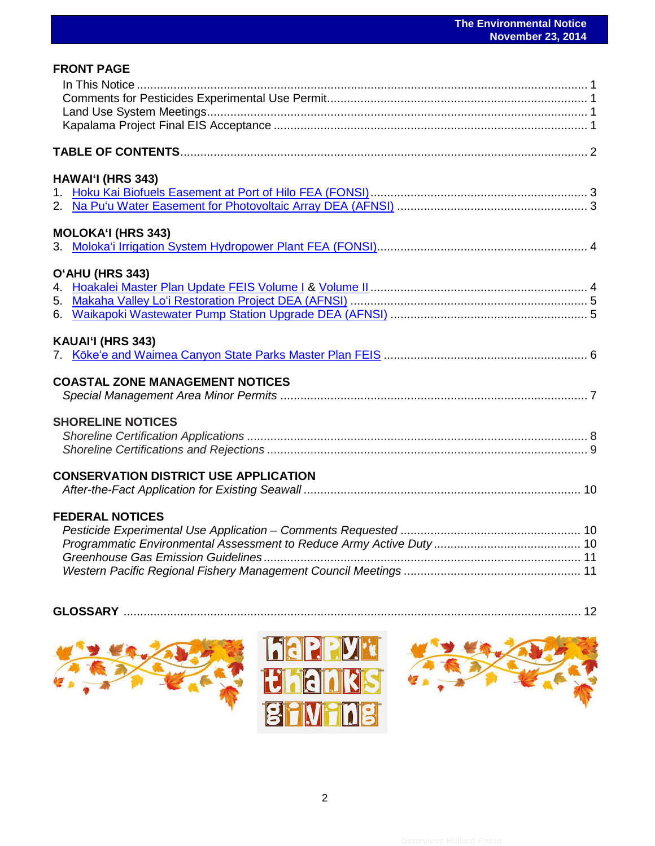| <b>FRONT PAGE</b>                            |  |
|----------------------------------------------|--|
|                                              |  |
|                                              |  |
|                                              |  |
|                                              |  |
|                                              |  |
| <b>HAWAI'I (HRS 343)</b>                     |  |
|                                              |  |
|                                              |  |
| <b>MOLOKA'I (HRS 343)</b>                    |  |
|                                              |  |
| O'AHU (HRS 343)                              |  |
|                                              |  |
|                                              |  |
|                                              |  |
| KAUAI'I (HRS 343)                            |  |
|                                              |  |
| <b>COASTAL ZONE MANAGEMENT NOTICES</b>       |  |
|                                              |  |
| <b>SHORELINE NOTICES</b>                     |  |
|                                              |  |
|                                              |  |
| <b>CONSERVATION DISTRICT USE APPLICATION</b> |  |
|                                              |  |
| <b>FEDERAL NOTICES</b>                       |  |
|                                              |  |
|                                              |  |
|                                              |  |
|                                              |  |
|                                              |  |



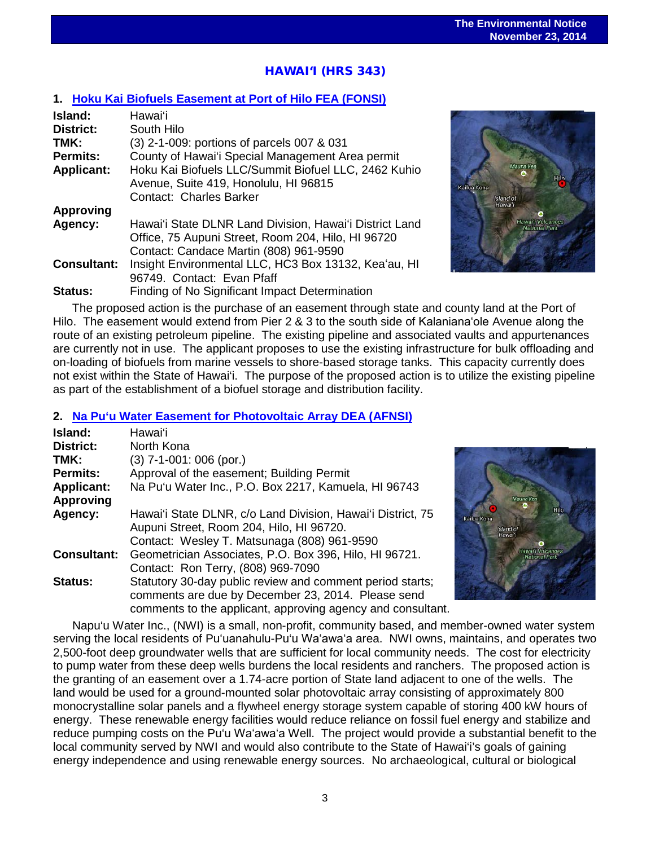# $\overline{a}$ HAWAI'I (HRS 343)

## **1. [Hoku Kai Biofuels Easement at Port of Hilo FEA \(FONSI\)](http://oeqc.doh.hawaii.gov/Shared%20Documents/EA_and_EIS_Online_Library/Hawaii/2010s/2014-11-23-HI-5E-FEA-Hoku-Kai-Biofuels-Easement-at-Port-of-Hilo.pdf)**

| Island:            | Hawai'i                                                 |
|--------------------|---------------------------------------------------------|
| <b>District:</b>   | South Hilo                                              |
| TMK:               | (3) 2-1-009: portions of parcels 007 & 031              |
| <b>Permits:</b>    | County of Hawai'i Special Management Area permit        |
| <b>Applicant:</b>  | Hoku Kai Biofuels LLC/Summit Biofuel LLC, 2462 Kuhio    |
|                    | Avenue, Suite 419, Honolulu, HI 96815                   |
|                    | <b>Contact: Charles Barker</b>                          |
| <b>Approving</b>   |                                                         |
| Agency:            | Hawai'i State DLNR Land Division, Hawai'i District Land |
|                    | Office, 75 Aupuni Street, Room 204, Hilo, HI 96720      |
|                    | Contact: Candace Martin (808) 961-9590                  |
| <b>Consultant:</b> | Insight Environmental LLC, HC3 Box 13132, Kea'au, HI    |
|                    | 96749. Contact: Evan Pfaff                              |
| <b>Status:</b>     | Finding of No Significant Impact Determination          |



The proposed action is the purchase of an easement through state and county land at the Port of Hilo. The easement would extend from Pier 2 & 3 to the south side of Kalanianaʻole Avenue along the route of an existing petroleum pipeline. The existing pipeline and associated vaults and appurtenances are currently not in use. The applicant proposes to use the existing infrastructure for bulk offloading and on-loading of biofuels from marine vessels to shore-based storage tanks. This capacity currently does not exist within the State of Hawai'i. The purpose of the proposed action is to utilize the existing pipeline as part of the establishment of a biofuel storage and distribution facility.

#### **2. [Na Pu'u Water Easement for Photovoltaic Array DEA \(AFNSI\)](http://oeqc.doh.hawaii.gov/Shared%20Documents/EA_and_EIS_Online_Library/Hawaii/2010s/2014-11-23-HI-5E-DEA-Na-Puu-Water-Easement-for-Photovoltaic-Array.pdf)**

| Island:            | Hawaiʻi                                                     |
|--------------------|-------------------------------------------------------------|
| <b>District:</b>   | North Kona                                                  |
| TMK:               | $(3)$ 7-1-001: 006 (por.)                                   |
| <b>Permits:</b>    | Approval of the easement; Building Permit                   |
| <b>Applicant:</b>  | Na Pu'u Water Inc., P.O. Box 2217, Kamuela, HI 96743        |
| <b>Approving</b>   |                                                             |
| Agency:            | Hawai'i State DLNR, c/o Land Division, Hawai'i District, 75 |
|                    | Aupuni Street, Room 204, Hilo, HI 96720.                    |
|                    | Contact: Wesley T. Matsunaga (808) 961-9590                 |
| <b>Consultant:</b> | Geometrician Associates, P.O. Box 396, Hilo, HI 96721.      |
|                    | Contact: Ron Terry, (808) 969-7090                          |
| <b>Status:</b>     | Statutory 30-day public review and comment period starts;   |
|                    | comments are due by December 23, 2014. Please send          |
|                    | comments to the applicant, approving agency and consultant. |



Napu'u Water Inc., (NWI) is a small, non-profit, community based, and member-owned water system serving the local residents of Puʻuanahulu-Pu'u Waʻawaʻa area. NWI owns, maintains, and operates two 2,500-foot deep groundwater wells that are sufficient for local community needs. The cost for electricity to pump water from these deep wells burdens the local residents and ranchers. The proposed action is the granting of an easement over a 1.74-acre portion of State land adjacent to one of the wells. The land would be used for a ground-mounted solar photovoltaic array consisting of approximately 800 monocrystalline solar panels and a flywheel energy storage system capable of storing 400 kW hours of energy. These renewable energy facilities would reduce reliance on fossil fuel energy and stabilize and reduce pumping costs on the Pu'u Waʻawaʻa Well. The project would provide a substantial benefit to the local community served by NWI and would also contribute to the State of Hawai'i's goals of gaining energy independence and using renewable energy sources. No archaeological, cultural or biological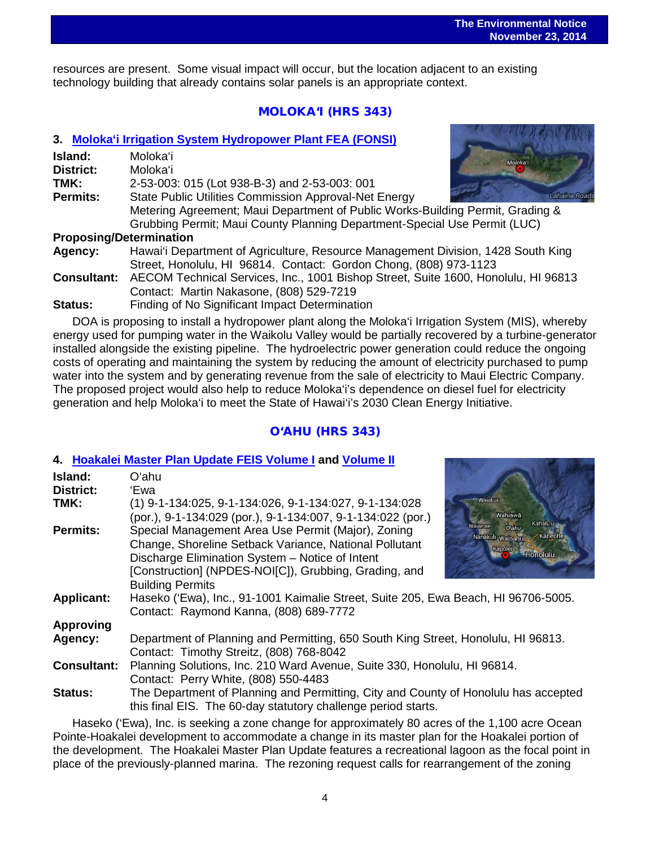$\overline{a}$ resources are present. Some visual impact will occur, but the location adjacent to an existing technology building that already contains solar panels is an appropriate context.

## MOLOKA'I (HRS 343)

### **3. [Moloka'i Irrigation System Hydropower Plant](http://oeqc.doh.hawaii.gov/Shared%20Documents/EA_and_EIS_Online_Library/Molokai/2010s/2014-11-23-MO-5B-FEA-Molokai-Irrigation-System-Hydropower-Plant.pdf) FEA (FONSI)**

| Island:                        | Molokaʻi                                                                       |
|--------------------------------|--------------------------------------------------------------------------------|
| <b>District:</b>               | Moloka'i<br>Molokaʻi                                                           |
| TMK:                           | 2-53-003: 015 (Lot 938-B-3) and 2-53-003: 001                                  |
| <b>Permits:</b>                | State Public Utilities Commission Approval-Net Energy<br>Lahaina Roa           |
|                                | Metering Agreement; Maui Department of Public Works-Building Permit, Grading & |
|                                | Grubbing Permit; Maui County Planning Department-Special Use Permit (LUC)      |
| <b>Proposing/Determination</b> |                                                                                |

### **Proposing/Determination**

**Agency:** Hawai'i Department of Agriculture, Resource Management Division, 1428 South King Street, Honolulu, HI 96814. Contact: Gordon Chong, (808) 973-1123

**Consultant:** AECOM Technical Services, Inc., 1001 Bishop Street, Suite 1600, Honolulu, HI 96813 Contact: Martin Nakasone, (808) 529-7219

**Status:** Finding of No Significant Impact Determination

DOA is proposing to install a hydropower plant along the Moloka'i Irrigation System (MIS), whereby energy used for pumping water in the Waikolu Valley would be partially recovered by a turbine-generator installed alongside the existing pipeline. The hydroelectric power generation could reduce the ongoing costs of operating and maintaining the system by reducing the amount of electricity purchased to pump water into the system and by generating revenue from the sale of electricity to Maui Electric Company. The proposed project would also help to reduce Moloka'i's dependence on diesel fuel for electricity generation and help Moloka'i to meet the State of Hawai'i's 2030 Clean Energy Initiative.

## O'AHU (HRS 343)

## **4. [Hoakalei Master Plan Update FEIS](http://oeqc.doh.hawaii.gov/Shared%20Documents/EA_and_EIS_Online_Library/Oahu/2010s/2014-11-23-OA-5E-FEIS-Hoakalei-Master-Plan-Update-Volume-I.pdf) Volume I and [Volume II](http://oeqc.doh.hawaii.gov/Shared%20Documents/EA_and_EIS_Online_Library/Oahu/2010s/2014-11-23-OA-5E-FEIS-Hoakalei-Master-Plan-Update-Volume-II.pdf)**

| Island:            | Oʻahu                                                                                                                                                |                                         |  |
|--------------------|------------------------------------------------------------------------------------------------------------------------------------------------------|-----------------------------------------|--|
| <b>District:</b>   | 'Ewa                                                                                                                                                 |                                         |  |
| TMK:               | (1) 9-1-134:025, 9-1-134:026, 9-1-134:027, 9-1-134:028                                                                                               | Waialua                                 |  |
|                    | (por.), 9-1-134:029 (por.), 9-1-134:007, 9-1-134:022 (por.)                                                                                          | Nahiawā                                 |  |
| Permits:           | Special Management Area Use Permit (Major), Zoning                                                                                                   | Kahalu'u<br>Waianae<br>O'ahu<br>Kaneohe |  |
|                    | Change, Shoreline Setback Variance, National Pollutant                                                                                               | Nanakuli Waipahu:                       |  |
|                    | Discharge Elimination System - Notice of Intent                                                                                                      | Kapolei<br>Honolulu                     |  |
|                    | [Construction] (NPDES-NOI[C]), Grubbing, Grading, and                                                                                                |                                         |  |
|                    | <b>Building Permits</b>                                                                                                                              |                                         |  |
| <b>Applicant:</b>  | Haseko ('Ewa), Inc., 91-1001 Kaimalie Street, Suite 205, Ewa Beach, HI 96706-5005.<br>Contact: Raymond Kanna, (808) 689-7772                         |                                         |  |
|                    |                                                                                                                                                      |                                         |  |
| <b>Approving</b>   |                                                                                                                                                      |                                         |  |
| Agency:            | Department of Planning and Permitting, 650 South King Street, Honolulu, HI 96813.                                                                    |                                         |  |
|                    | Contact: Timothy Streitz, (808) 768-8042                                                                                                             |                                         |  |
| <b>Consultant:</b> | Planning Solutions, Inc. 210 Ward Avenue, Suite 330, Honolulu, HI 96814.                                                                             |                                         |  |
|                    | Contact: Perry White, (808) 550-4483                                                                                                                 |                                         |  |
| <b>Status:</b>     | The Department of Planning and Permitting, City and County of Honolulu has accepted<br>this final EIS. The 60-day statutory challenge period starts. |                                         |  |

Haseko ('Ewa), Inc. is seeking a zone change for approximately 80 acres of the 1,100 acre Ocean Pointe-Hoakalei development to accommodate a change in its master plan for the Hoakalei portion of the development. The Hoakalei Master Plan Update features a recreational lagoon as the focal point in place of the previously-planned marina. The rezoning request calls for rearrangement of the zoning



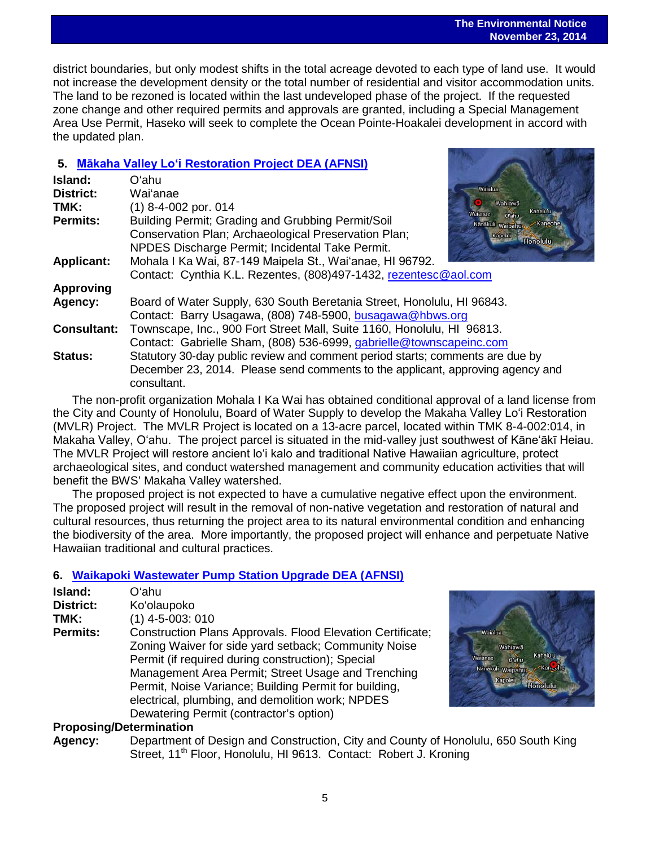#### **The Environmental Notice November 23, 2014**

 $\overline{a}$ district boundaries, but only modest shifts in the total acreage devoted to each type of land use. It would not increase the development density or the total number of residential and visitor accommodation units. The land to be rezoned is located within the last undeveloped phase of the project. If the requested zone change and other required permits and approvals are granted, including a Special Management Area Use Permit, Haseko will seek to complete the Ocean Pointe-Hoakalei development in accord with the updated plan.

## **5. Mākaha Valley Lo'i [Restoration Project DEA \(AFNSI\)](http://oeqc.doh.hawaii.gov/Shared%20Documents/EA_and_EIS_Online_Library/Oahu/2010s/2014-11-23-OA-5E-FEIS-Makaha-Valley-Loi-Restoration-Project.pdf)**

| Island:            | Oʻahu                                                                                     |
|--------------------|-------------------------------------------------------------------------------------------|
| <b>District:</b>   | Waialua<br>Wai'anae                                                                       |
| TMK:               | Wahiawa<br>(1) 8-4-002 por. 014<br>Kahalu'u                                               |
| <b>Permits:</b>    | O'ahu<br>Building Permit; Grading and Grubbing Permit/Soil<br>Nanakuli Waipahu<br>Kaneohe |
|                    | Conservation Plan; Archaeological Preservation Plan;<br>Kapolei<br>Honolulu,              |
|                    | NPDES Discharge Permit; Incidental Take Permit.                                           |
| <b>Applicant:</b>  | Mohala I Ka Wai, 87-149 Maipela St., Wai'anae, HI 96792.                                  |
|                    | Contact: Cynthia K.L. Rezentes, (808)497-1432, rezentesc@aol.com                          |
| <b>Approving</b>   |                                                                                           |
| Agency:            | Board of Water Supply, 630 South Beretania Street, Honolulu, HI 96843.                    |
|                    | Contact: Barry Usagawa, (808) 748-5900, busagawa@hbws.org                                 |
| <b>Consultant:</b> | Townscape, Inc., 900 Fort Street Mall, Suite 1160, Honolulu, HI 96813.                    |
|                    | Contact: Gabrielle Sham, (808) 536-6999, gabrielle@townscapeinc.com                       |
| <b>Status:</b>     | Statutory 30-day public review and comment period starts; comments are due by             |
|                    | December 23, 2014. Please send comments to the applicant, approving agency and            |
|                    | consultant.                                                                               |
|                    |                                                                                           |

The non-profit organization Mohala I Ka Wai has obtained conditional approval of a land license from the City and County of Honolulu, Board of Water Supply to develop the Makaha Valley Loʻi Restoration (MVLR) Project. The MVLR Project is located on a 13-acre parcel, located within TMK 8-4-002:014, in Makaha Valley, Oʻahu. The project parcel is situated in the mid-valley just southwest of Kāne'ākī Heiau. The MVLR Project will restore ancient loʻi kalo and traditional Native Hawaiian agriculture, protect archaeological sites, and conduct watershed management and community education activities that will benefit the BWS' Makaha Valley watershed.

The proposed project is not expected to have a cumulative negative effect upon the environment. The proposed project will result in the removal of non-native vegetation and restoration of natural and cultural resources, thus returning the project area to its natural environmental condition and enhancing the biodiversity of the area. More importantly, the proposed project will enhance and perpetuate Native Hawaiian traditional and cultural practices.

## **6. Waikapoki [Wastewater Pump Station Upgrade DEA \(AFNSI\)](http://oeqc.doh.hawaii.gov/Shared%20Documents/EA_and_EIS_Online_Library/Oahu/2010s/2014-11-23-OA-5B-DEA-Waikapoki-Waste-Water-Power-Station-Upgrade.pdf)**

| Island:         | Oʻahu                                                      |
|-----------------|------------------------------------------------------------|
| District:       | Ko'olaupoko                                                |
| TMK:            | $(1)$ 4-5-003: 010                                         |
| <b>Permits:</b> | Construction Plans Approvals. Flood Elevation Certificate; |
|                 | Zoning Waiver for side yard setback; Community Noise       |
|                 | Permit (if required during construction); Special          |
|                 | Management Area Permit; Street Usage and Trenching         |
|                 | Permit, Noise Variance; Building Permit for building,      |
|                 | electrical, plumbing, and demolition work; NPDES           |
|                 | Dewatering Permit (contractor's option)                    |



### **Proposing/Determination**

**Agency:** Department of Design and Construction, City and County of Honolulu, 650 South King Street, 11<sup>th</sup> Floor, Honolulu, HI 9613. Contact: Robert J. Kroning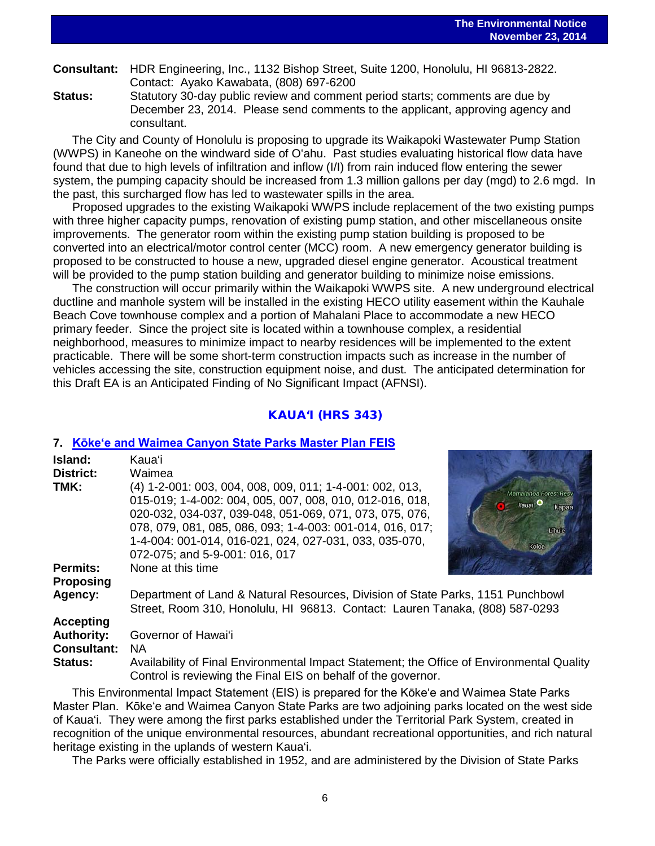| $\begin{array}{c} \textbf{1121} & \textbf{1231} \\ \textbf{1331} & \textbf{1331} \\ \textbf{1431} & \textbf{1431} \\ \textbf{1531} & \textbf{1531} \\ \textbf{1631} & \textbf{1631} \\ \textbf{1731} & \textbf{1831} \\ \textbf{1831} & \textbf{1831} \\ \textbf{1931} & \textbf{1831} \\ \textbf{1931} & \textbf{1831} \\ \textbf{1931} & \textbf{1831} \\ \textbf{1931} & \textbf$ |
|--------------------------------------------------------------------------------------------------------------------------------------------------------------------------------------------------------------------------------------------------------------------------------------------------------------------------------------------------------------------------------------|
| <b>Consultant:</b> HDR Engineering, Inc., 1132 Bishop Street, Suite 1200, Honolulu, HI 96813-2822.<br>Contact: Ayako Kawabata, (808) 697-6200                                                                                                                                                                                                                                        |
|                                                                                                                                                                                                                                                                                                                                                                                      |

**Status:** Statutory 30-day public review and comment period starts; comments are due by December 23, 2014. Please send comments to the applicant, approving agency and consultant.

The City and County of Honolulu is proposing to upgrade its Waikapoki Wastewater Pump Station (WWPS) in Kaneohe on the windward side of Oʻahu. Past studies evaluating historical flow data have found that due to high levels of infiltration and inflow (I/I) from rain induced flow entering the sewer system, the pumping capacity should be increased from 1.3 million gallons per day (mgd) to 2.6 mgd. In the past, this surcharged flow has led to wastewater spills in the area.

Proposed upgrades to the existing Waikapoki WWPS include replacement of the two existing pumps with three higher capacity pumps, renovation of existing pump station, and other miscellaneous onsite improvements. The generator room within the existing pump station building is proposed to be converted into an electrical/motor control center (MCC) room. A new emergency generator building is proposed to be constructed to house a new, upgraded diesel engine generator. Acoustical treatment will be provided to the pump station building and generator building to minimize noise emissions.

The construction will occur primarily within the Waikapoki WWPS site. A new underground electrical ductline and manhole system will be installed in the existing HECO utility easement within the Kauhale Beach Cove townhouse complex and a portion of Mahalani Place to accommodate a new HECO primary feeder. Since the project site is located within a townhouse complex, a residential neighborhood, measures to minimize impact to nearby residences will be implemented to the extent practicable. There will be some short-term construction impacts such as increase in the number of vehicles accessing the site, construction equipment noise, and dust. The anticipated determination for this Draft EA is an Anticipated Finding of No Significant Impact (AFNSI).

### KAUA'I (HRS 343)

#### **7. [Kōke'e and Waimea Canyon State Parks Master Plan FEIS](http://oeqc.doh.hawaii.gov/Shared%20Documents/EA_and_EIS_Online_Library/Kauai/2010s/2014-11-23-KA-5B-FEIS-Kokee-and-Waimea-Canyon-State-Parks-Master-Plan.pdf)**

| Island:            | Kauaʻi                                                                                                                                                                                                                                                                                                                                   |                                                                         |  |
|--------------------|------------------------------------------------------------------------------------------------------------------------------------------------------------------------------------------------------------------------------------------------------------------------------------------------------------------------------------------|-------------------------------------------------------------------------|--|
| District:          | Waimea                                                                                                                                                                                                                                                                                                                                   |                                                                         |  |
| TMK:               | (4) 1-2-001: 003, 004, 008, 009, 011; 1-4-001: 002, 013,<br>015-019; 1-4-002: 004, 005, 007, 008, 010, 012-016, 018,<br>020-032, 034-037, 039-048, 051-069, 071, 073, 075, 076,<br>078, 079, 081, 085, 086, 093; 1-4-003: 001-014, 016, 017;<br>1-4-004: 001-014, 016-021, 024, 027-031, 033, 035-070,<br>072-075; and 5-9-001: 016, 017 | Mamalahoa Forest Resv<br>Kauai <sup>O</sup><br>Kapaa<br>Lihule<br>Koloa |  |
| <b>Permits:</b>    | None at this time                                                                                                                                                                                                                                                                                                                        |                                                                         |  |
| <b>Proposing</b>   |                                                                                                                                                                                                                                                                                                                                          |                                                                         |  |
| Agency:            | Department of Land & Natural Resources, Division of State Parks, 1151 Punchbowl<br>Street, Room 310, Honolulu, HI 96813. Contact: Lauren Tanaka, (808) 587-0293                                                                                                                                                                          |                                                                         |  |
| <b>Accepting</b>   |                                                                                                                                                                                                                                                                                                                                          |                                                                         |  |
| <b>Authority:</b>  | Governor of Hawai'i                                                                                                                                                                                                                                                                                                                      |                                                                         |  |
| <b>Consultant:</b> | NA.                                                                                                                                                                                                                                                                                                                                      |                                                                         |  |
| <b>Status:</b>     | Availability of Final Environmental Impact Statement; the Office of Environmental Quality<br>Control is reviewing the Final EIS on behalf of the governor.                                                                                                                                                                               |                                                                         |  |

This Environmental Impact Statement (EIS) is prepared for the Kōke'e and Waimea State Parks Master Plan. Kōke'e and Waimea Canyon State Parks are two adjoining parks located on the west side of Kaua'i. They were among the first parks established under the Territorial Park System, created in recognition of the unique environmental resources, abundant recreational opportunities, and rich natural heritage existing in the uplands of western Kaua'i.

The Parks were officially established in 1952, and are administered by the Division of State Parks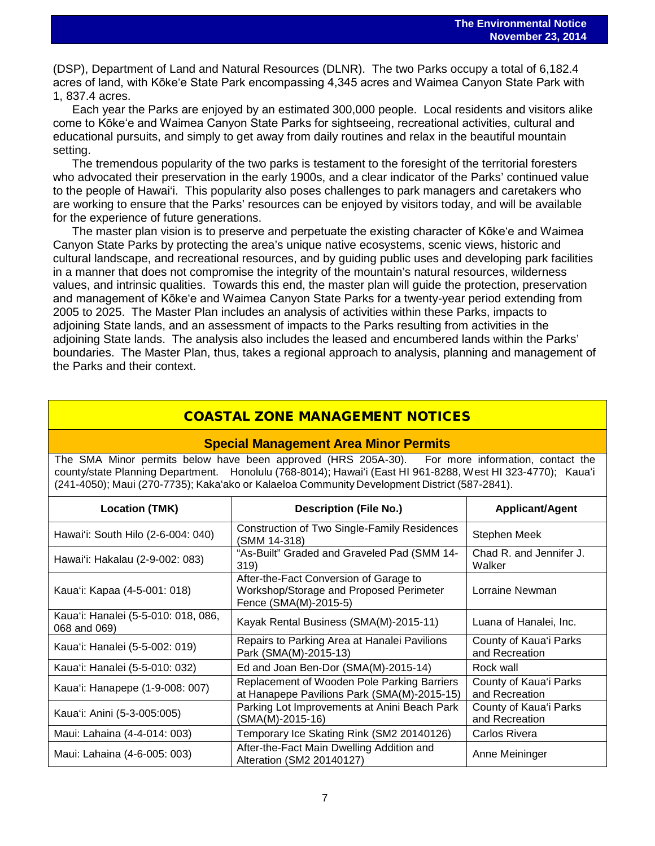$\overline{a}$ (DSP), Department of Land and Natural Resources (DLNR). The two Parks occupy a total of 6,182.4 acres of land, with Kōke'e State Park encompassing 4,345 acres and Waimea Canyon State Park with 1, 837.4 acres.

Each year the Parks are enjoyed by an estimated 300,000 people. Local residents and visitors alike come to Kōke'e and Waimea Canyon State Parks for sightseeing, recreational activities, cultural and educational pursuits, and simply to get away from daily routines and relax in the beautiful mountain setting.

The tremendous popularity of the two parks is testament to the foresight of the territorial foresters who advocated their preservation in the early 1900s, and a clear indicator of the Parks' continued value to the people of Hawai'i. This popularity also poses challenges to park managers and caretakers who are working to ensure that the Parks' resources can be enjoyed by visitors today, and will be available for the experience of future generations.

The master plan vision is to preserve and perpetuate the existing character of Kōke'e and Waimea Canyon State Parks by protecting the area's unique native ecosystems, scenic views, historic and cultural landscape, and recreational resources, and by guiding public uses and developing park facilities in a manner that does not compromise the integrity of the mountain's natural resources, wilderness values, and intrinsic qualities. Towards this end, the master plan will guide the protection, preservation and management of Kōke'e and Waimea Canyon State Parks for a twenty-year period extending from 2005 to 2025. The Master Plan includes an analysis of activities within these Parks, impacts to adjoining State lands, and an assessment of impacts to the Parks resulting from activities in the adjoining State lands. The analysis also includes the leased and encumbered lands within the Parks' boundaries. The Master Plan, thus, takes a regional approach to analysis, planning and management of the Parks and their context.

## COASTAL ZONE MANAGEMENT NOTICES

#### **Special Management Area Minor Permits**

The SMA Minor permits below have been approved (HRS 205A-30). For more information, contact the county/state Planning Department. Honolulu (768-8014); Hawaiʻi (East HI 961-8288, West HI 323-4770); Kauaʻi (241-4050); Maui (270-7735); Kakaʻako or Kalaeloa Community Development District (587-2841).

| <b>Location (TMK)</b>                               | <b>Description (File No.)</b>                                                                              | <b>Applicant/Agent</b>                   |
|-----------------------------------------------------|------------------------------------------------------------------------------------------------------------|------------------------------------------|
| Hawai'i: South Hilo (2-6-004: 040)                  | Construction of Two Single-Family Residences<br>(SMM 14-318)                                               | Stephen Meek                             |
| Hawai'i: Hakalau (2-9-002: 083)                     | "As-Built" Graded and Graveled Pad (SMM 14-<br>319)                                                        | Chad R. and Jennifer J.<br>Walker        |
| Kaua'i: Kapaa (4-5-001: 018)                        | After-the-Fact Conversion of Garage to<br>Workshop/Storage and Proposed Perimeter<br>Fence (SMA(M)-2015-5) | Lorraine Newman                          |
| Kaua'i: Hanalei (5-5-010: 018, 086,<br>068 and 069) | Kayak Rental Business (SMA(M)-2015-11)                                                                     | Luana of Hanalei, Inc.                   |
| Kaua'i: Hanalei (5-5-002: 019)                      | Repairs to Parking Area at Hanalei Pavilions<br>Park (SMA(M)-2015-13)                                      | County of Kaua'i Parks<br>and Recreation |
| Kaua'i: Hanalei (5-5-010: 032)                      | Ed and Joan Ben-Dor (SMA(M)-2015-14)                                                                       | Rock wall                                |
| Kaua'i: Hanapepe (1-9-008: 007)                     | Replacement of Wooden Pole Parking Barriers<br>at Hanapepe Pavilions Park (SMA(M)-2015-15)                 | County of Kaua'i Parks<br>and Recreation |
| Kaua'i: Anini (5-3-005:005)                         | Parking Lot Improvements at Anini Beach Park<br>(SMA(M)-2015-16)                                           | County of Kaua'i Parks<br>and Recreation |
| Maui: Lahaina (4-4-014: 003)                        | Temporary Ice Skating Rink (SM2 20140126)                                                                  | Carlos Rivera                            |
| Maui: Lahaina (4-6-005: 003)                        | After-the-Fact Main Dwelling Addition and<br>Alteration (SM2 20140127)                                     | Anne Meininger                           |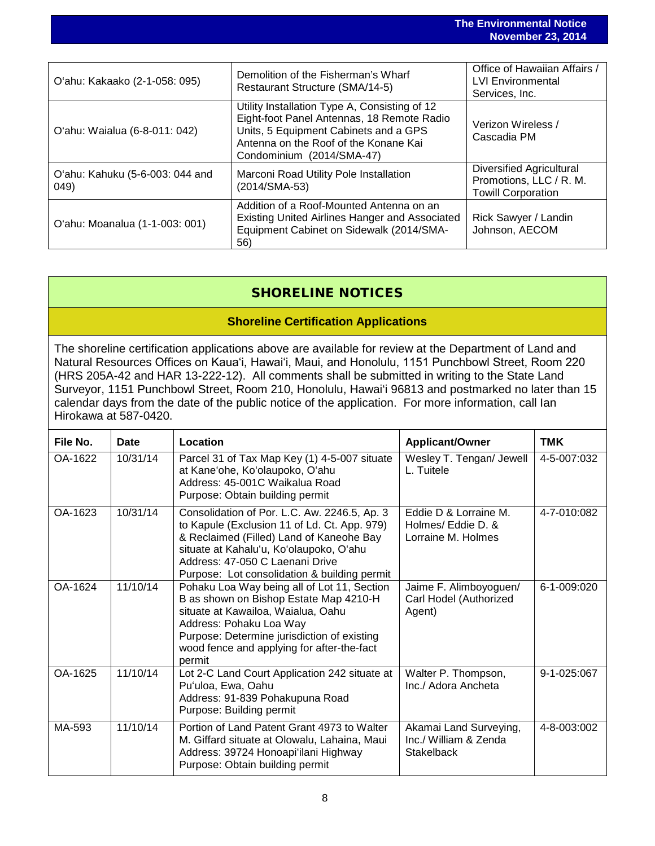|                                         | <b>The Environmental Notice</b><br><b>November 23, 2014</b>                                                                                                                                                |                                                                                  |
|-----------------------------------------|------------------------------------------------------------------------------------------------------------------------------------------------------------------------------------------------------------|----------------------------------------------------------------------------------|
|                                         |                                                                                                                                                                                                            |                                                                                  |
| O'ahu: Kakaako (2-1-058: 095)           | Demolition of the Fisherman's Wharf<br>Restaurant Structure (SMA/14-5)                                                                                                                                     | Office of Hawaiian Affairs /<br><b>LVI Environmental</b><br>Services, Inc.       |
| O'ahu: Waialua (6-8-011: 042)           | Utility Installation Type A, Consisting of 12<br>Eight-foot Panel Antennas, 18 Remote Radio<br>Units, 5 Equipment Cabinets and a GPS<br>Antenna on the Roof of the Konane Kai<br>Condominium (2014/SMA-47) | Verizon Wireless /<br>Cascadia PM                                                |
| O'ahu: Kahuku (5-6-003: 044 and<br>049) | Marconi Road Utility Pole Installation<br>(2014/SMA-53)                                                                                                                                                    | Diversified Agricultural<br>Promotions, LLC / R. M.<br><b>Towill Corporation</b> |
| O'ahu: Moanalua (1-1-003: 001)          | Addition of a Roof-Mounted Antenna on an<br><b>Existing United Airlines Hanger and Associated</b><br>Equipment Cabinet on Sidewalk (2014/SMA-<br>56)                                                       | Rick Sawyer / Landin<br>Johnson, AECOM                                           |

## SHORELINE NOTICES

## **Shoreline Certification Applications**

The shoreline certification applications above are available for review at the Department of Land and Natural Resources Offices on Kauaʻi, Hawaiʻi, Maui, and Honolulu, 1151 Punchbowl Street, Room 220 (HRS 205A-42 and HAR 13-222-12). All comments shall be submitted in writing to the State Land Surveyor, 1151 Punchbowl Street, Room 210, Honolulu, Hawai'i 96813 and postmarked no later than 15 calendar days from the date of the public notice of the application. For more information, call Ian Hirokawa at 587-0420.

| File No. | <b>Date</b> | Location                                                                                                                                                                                                                                                               | <b>Applicant/Owner</b>                                               | <b>TMK</b>  |
|----------|-------------|------------------------------------------------------------------------------------------------------------------------------------------------------------------------------------------------------------------------------------------------------------------------|----------------------------------------------------------------------|-------------|
| OA-1622  | 10/31/14    | Parcel 31 of Tax Map Key (1) 4-5-007 situate<br>at Kane'ohe, Ko'olaupoko, O'ahu<br>Address: 45-001C Waikalua Road<br>Purpose: Obtain building permit                                                                                                                   | Wesley T. Tengan/ Jewell<br>L. Tuitele                               | 4-5-007:032 |
| OA-1623  | 10/31/14    | Consolidation of Por. L.C. Aw. 2246.5, Ap. 3<br>to Kapule (Exclusion 11 of Ld. Ct. App. 979)<br>& Reclaimed (Filled) Land of Kaneohe Bay<br>situate at Kahalu'u, Ko'olaupoko, O'ahu<br>Address: 47-050 C Laenani Drive<br>Purpose: Lot consolidation & building permit | Eddie D & Lorraine M.<br>Holmes/ Eddie D. &<br>Lorraine M. Holmes    | 4-7-010:082 |
| OA-1624  | 11/10/14    | Pohaku Loa Way being all of Lot 11, Section<br>B as shown on Bishop Estate Map 4210-H<br>situate at Kawailoa, Waialua, Oahu<br>Address: Pohaku Loa Way<br>Purpose: Determine jurisdiction of existing<br>wood fence and applying for after-the-fact<br>permit          | Jaime F. Alimboyoguen/<br>Carl Hodel (Authorized<br>Agent)           | 6-1-009:020 |
| OA-1625  | 11/10/14    | Lot 2-C Land Court Application 242 situate at<br>Pu'uloa, Ewa, Oahu<br>Address: 91-839 Pohakupuna Road<br>Purpose: Building permit                                                                                                                                     | Walter P. Thompson,<br>Inc./ Adora Ancheta                           | 9-1-025:067 |
| MA-593   | 11/10/14    | Portion of Land Patent Grant 4973 to Walter<br>M. Giffard situate at Olowalu, Lahaina, Maui<br>Address: 39724 Honoapi'ilani Highway<br>Purpose: Obtain building permit                                                                                                 | Akamai Land Surveying,<br>Inc./ William & Zenda<br><b>Stakelback</b> | 4-8-003:002 |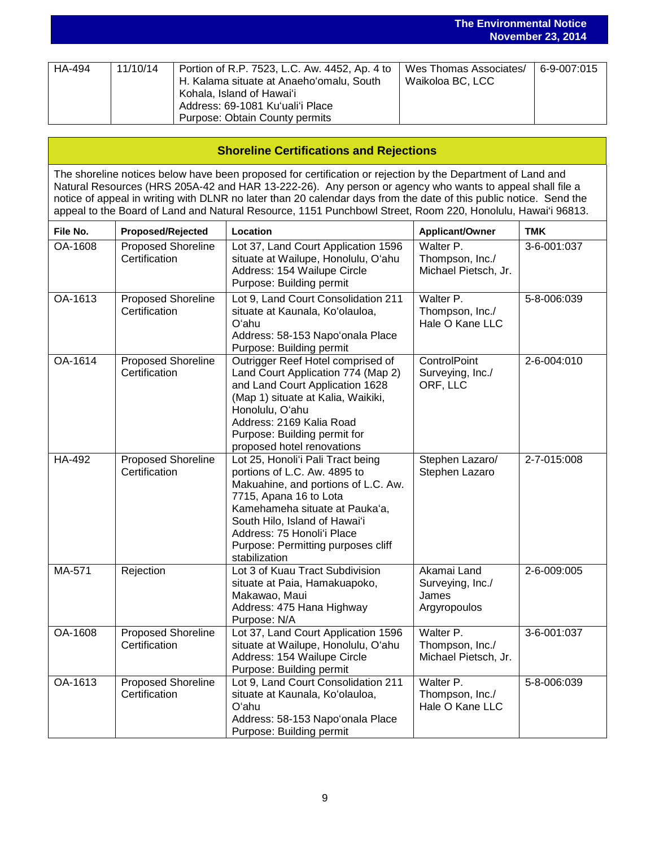|        |          |                                                                                                                                                                                              | <b>November 23, 2014</b>                   |             |  |
|--------|----------|----------------------------------------------------------------------------------------------------------------------------------------------------------------------------------------------|--------------------------------------------|-------------|--|
|        |          |                                                                                                                                                                                              |                                            |             |  |
| HA-494 | 11/10/14 | Portion of R.P. 7523, L.C. Aw. 4452, Ap. 4 to<br>H. Kalama situate at Anaeho'omalu, South<br>Kohala, Island of Hawai'i<br>Address: 69-1081 Ku'uali'i Place<br>Purpose: Obtain County permits | Wes Thomas Associates/<br>Waikoloa BC, LCC | 6-9-007:015 |  |

**The Environmental Notice**

| <b>Shoreline Certifications and Rejections</b>                                                                                                                                                                                                                                                                                                                                                                                                               |                                            |                                                                                                                                                                                                                                                                                            |                                                          |             |  |  |
|--------------------------------------------------------------------------------------------------------------------------------------------------------------------------------------------------------------------------------------------------------------------------------------------------------------------------------------------------------------------------------------------------------------------------------------------------------------|--------------------------------------------|--------------------------------------------------------------------------------------------------------------------------------------------------------------------------------------------------------------------------------------------------------------------------------------------|----------------------------------------------------------|-------------|--|--|
| The shoreline notices below have been proposed for certification or rejection by the Department of Land and<br>Natural Resources (HRS 205A-42 and HAR 13-222-26). Any person or agency who wants to appeal shall file a<br>notice of appeal in writing with DLNR no later than 20 calendar days from the date of this public notice. Send the<br>appeal to the Board of Land and Natural Resource, 1151 Punchbowl Street, Room 220, Honolulu, Hawai'i 96813. |                                            |                                                                                                                                                                                                                                                                                            |                                                          |             |  |  |
| File No.                                                                                                                                                                                                                                                                                                                                                                                                                                                     | <b>Proposed/Rejected</b>                   | Location                                                                                                                                                                                                                                                                                   | <b>Applicant/Owner</b>                                   | <b>TMK</b>  |  |  |
| OA-1608                                                                                                                                                                                                                                                                                                                                                                                                                                                      | <b>Proposed Shoreline</b><br>Certification | Lot 37, Land Court Application 1596<br>situate at Wailupe, Honolulu, O'ahu<br>Address: 154 Wailupe Circle<br>Purpose: Building permit                                                                                                                                                      | Walter P.<br>Thompson, Inc./<br>Michael Pietsch, Jr.     | 3-6-001:037 |  |  |
| OA-1613                                                                                                                                                                                                                                                                                                                                                                                                                                                      | Proposed Shoreline<br>Certification        | Lot 9, Land Court Consolidation 211<br>situate at Kaunala, Ko'olauloa,<br>O'ahu<br>Address: 58-153 Napo'onala Place<br>Purpose: Building permit                                                                                                                                            | Walter P.<br>Thompson, Inc./<br>Hale O Kane LLC          | 5-8-006:039 |  |  |
| OA-1614                                                                                                                                                                                                                                                                                                                                                                                                                                                      | Proposed Shoreline<br>Certification        | Outrigger Reef Hotel comprised of<br>Land Court Application 774 (Map 2)<br>and Land Court Application 1628<br>(Map 1) situate at Kalia, Waikiki,<br>Honolulu, O'ahu<br>Address: 2169 Kalia Road<br>Purpose: Building permit for<br>proposed hotel renovations                              | ControlPoint<br>Surveying, Inc./<br>ORF, LLC             | 2-6-004:010 |  |  |
| <b>HA-492</b>                                                                                                                                                                                                                                                                                                                                                                                                                                                | Proposed Shoreline<br>Certification        | Lot 25, Honoli'i Pali Tract being<br>portions of L.C. Aw. 4895 to<br>Makuahine, and portions of L.C. Aw.<br>7715, Apana 16 to Lota<br>Kamehameha situate at Pauka'a,<br>South Hilo, Island of Hawai'i<br>Address: 75 Honoli'i Place<br>Purpose: Permitting purposes cliff<br>stabilization | Stephen Lazaro/<br>Stephen Lazaro                        | 2-7-015:008 |  |  |
| MA-571                                                                                                                                                                                                                                                                                                                                                                                                                                                       | Rejection                                  | Lot 3 of Kuau Tract Subdivision<br>situate at Paia, Hamakuapoko,<br>Makawao, Maui<br>Address: 475 Hana Highway<br>Purpose: N/A                                                                                                                                                             | Akamai Land<br>Surveying, Inc./<br>James<br>Argyropoulos | 2-6-009:005 |  |  |
| OA-1608                                                                                                                                                                                                                                                                                                                                                                                                                                                      | <b>Proposed Shoreline</b><br>Certification | Lot 37, Land Court Application 1596<br>situate at Wailupe, Honolulu, O'ahu<br>Address: 154 Wailupe Circle<br>Purpose: Building permit                                                                                                                                                      | Walter P.<br>Thompson, Inc./<br>Michael Pietsch, Jr.     | 3-6-001:037 |  |  |
| OA-1613                                                                                                                                                                                                                                                                                                                                                                                                                                                      | Proposed Shoreline<br>Certification        | Lot 9, Land Court Consolidation 211<br>situate at Kaunala, Ko'olauloa,<br>O'ahu<br>Address: 58-153 Napo'onala Place<br>Purpose: Building permit                                                                                                                                            | Walter P.<br>Thompson, Inc./<br>Hale O Kane LLC          | 5-8-006:039 |  |  |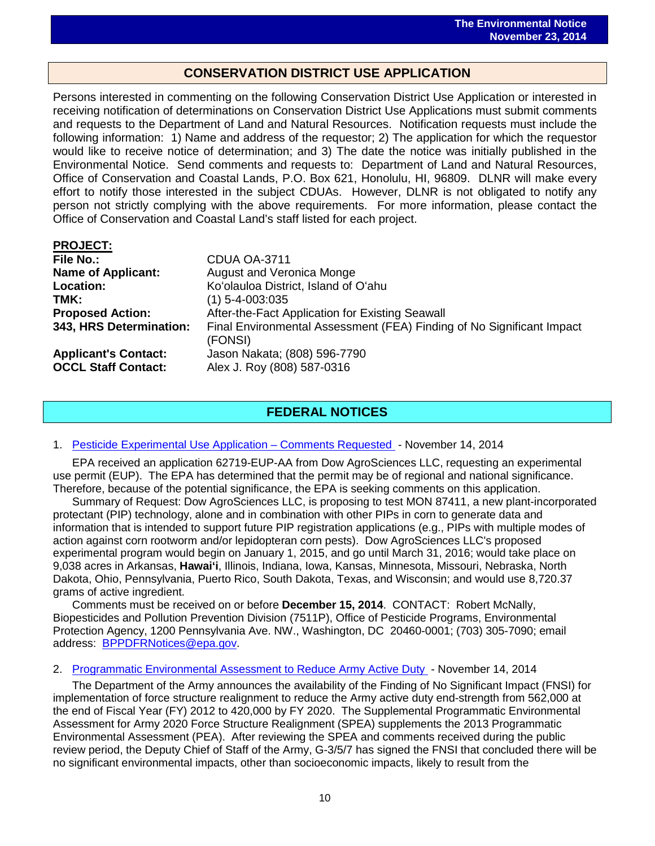## **CONSERVATION DISTRICT USE APPLICATION**

 $\overline{a}$ 

Persons interested in commenting on the following Conservation District Use Application or interested in receiving notification of determinations on Conservation District Use Applications must submit comments and requests to the Department of Land and Natural Resources. Notification requests must include the following information: 1) Name and address of the requestor; 2) The application for which the requestor would like to receive notice of determination; and 3) The date the notice was initially published in the Environmental Notice. Send comments and requests to: Department of Land and Natural Resources, Office of Conservation and Coastal Lands, P.O. Box 621, Honolulu, HI, 96809. DLNR will make every effort to notify those interested in the subject CDUAs. However, DLNR is not obligated to notify any person not strictly complying with the above requirements. For more information, please contact the Office of Conservation and Coastal Land's staff listed for each project.

| <b>PROJECT:</b>             |                                                                                  |
|-----------------------------|----------------------------------------------------------------------------------|
| <b>File No.:</b>            | <b>CDUA OA-3711</b>                                                              |
| <b>Name of Applicant:</b>   | <b>August and Veronica Monge</b>                                                 |
| <b>Location:</b>            | Ko'olauloa District, Island of O'ahu                                             |
| TMK:                        | $(1)$ 5-4-003:035                                                                |
| <b>Proposed Action:</b>     | After-the-Fact Application for Existing Seawall                                  |
| 343, HRS Determination:     | Final Environmental Assessment (FEA) Finding of No Significant Impact<br>(FONSI) |
| <b>Applicant's Contact:</b> | Jason Nakata; (808) 596-7790                                                     |
| <b>OCCL Staff Contact:</b>  | Alex J. Roy (808) 587-0316                                                       |

## **FEDERAL NOTICES**

#### 1. [Pesticide Experimental Use Application –](http://www.gpo.gov/fdsys/pkg/FR-2014-11-14/pdf/2014-26867.pdf) Comments Requested - November 14, 2014

EPA received an application 62719-EUP-AA from Dow AgroSciences LLC, requesting an experimental use permit (EUP). The EPA has determined that the permit may be of regional and national significance. Therefore, because of the potential significance, the EPA is seeking comments on this application.

Summary of Request: Dow AgroSciences LLC, is proposing to test MON 87411, a new plant-incorporated protectant (PIP) technology, alone and in combination with other PIPs in corn to generate data and information that is intended to support future PIP registration applications (e.g., PIPs with multiple modes of action against corn rootworm and/or lepidopteran corn pests). Dow AgroSciences LLC's proposed experimental program would begin on January 1, 2015, and go until March 31, 2016; would take place on 9,038 acres in Arkansas, **Hawai'i**, Illinois, Indiana, Iowa, Kansas, Minnesota, Missouri, Nebraska, North Dakota, Ohio, Pennsylvania, Puerto Rico, South Dakota, Texas, and Wisconsin; and would use 8,720.37 grams of active ingredient.

Comments must be received on or before **December 15, 2014**. CONTACT: Robert McNally, Biopesticides and Pollution Prevention Division (7511P), Office of Pesticide Programs, Environmental Protection Agency, 1200 Pennsylvania Ave. NW., Washington, DC 20460-0001; (703) 305-7090; email address: [BPPDFRNotices@epa.gov.](mailto:BPPDFRNotices@epa.gov)

#### 2. [Programmatic Environmental Assessment to Reduce Army Active Duty](http://www.gpo.gov/fdsys/pkg/FR-2014-11-14/pdf/2014-26724.pdf) - November 14, 2014

The Department of the Army announces the availability of the Finding of No Significant Impact (FNSI) for implementation of force structure realignment to reduce the Army active duty end-strength from 562,000 at the end of Fiscal Year (FY) 2012 to 420,000 by FY 2020. The Supplemental Programmatic Environmental Assessment for Army 2020 Force Structure Realignment (SPEA) supplements the 2013 Programmatic Environmental Assessment (PEA). After reviewing the SPEA and comments received during the public review period, the Deputy Chief of Staff of the Army, G-3/5/7 has signed the FNSI that concluded there will be no significant environmental impacts, other than socioeconomic impacts, likely to result from the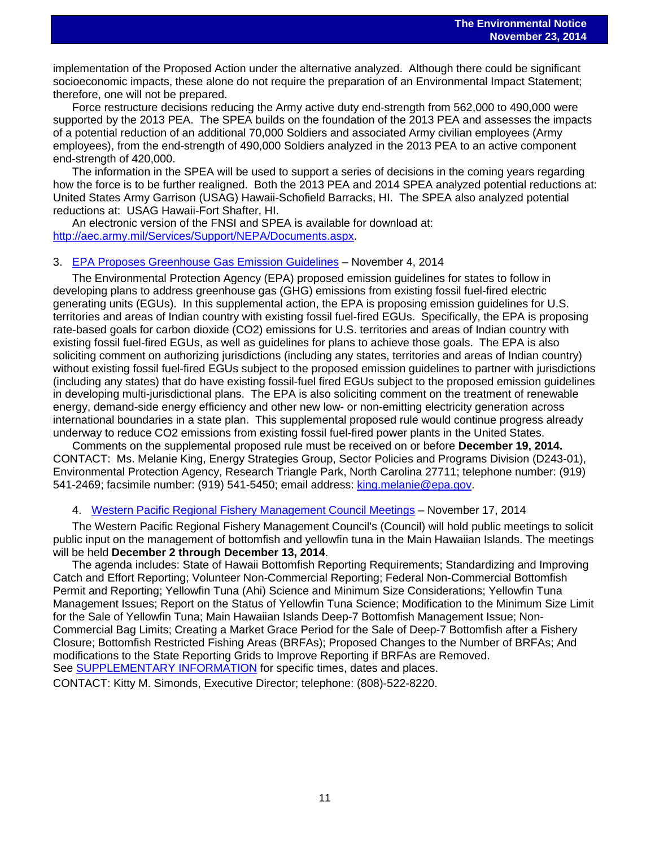$\overline{a}$ implementation of the Proposed Action under the alternative analyzed. Although there could be significant socioeconomic impacts, these alone do not require the preparation of an Environmental Impact Statement; therefore, one will not be prepared.

Force restructure decisions reducing the Army active duty end-strength from 562,000 to 490,000 were supported by the 2013 PEA. The SPEA builds on the foundation of the 2013 PEA and assesses the impacts of a potential reduction of an additional 70,000 Soldiers and associated Army civilian employees (Army employees), from the end-strength of 490,000 Soldiers analyzed in the 2013 PEA to an active component end-strength of 420,000.

The information in the SPEA will be used to support a series of decisions in the coming years regarding how the force is to be further realigned. Both the 2013 PEA and 2014 SPEA analyzed potential reductions at: United States Army Garrison (USAG) Hawaii-Schofield Barracks, HI. The SPEA also analyzed potential reductions at: USAG Hawaii-Fort Shafter, HI.

An electronic version of the FNSI and SPEA is available for download at: [http://aec.army.mil/Services/Support/NEPA/Documents.aspx.](http://aec.army.mil/Services/Support/NEPA/Documents.aspx)

#### 3. [EPA Proposes Greenhouse Gas Emission Guidelines](http://www.gpo.gov/fdsys/pkg/FR-2014-11-04/pdf/2014-26112.pdf) – November 4, 2014

The Environmental Protection Agency (EPA) proposed emission guidelines for states to follow in developing plans to address greenhouse gas (GHG) emissions from existing fossil fuel-fired electric generating units (EGUs). In this supplemental action, the EPA is proposing emission guidelines for U.S. territories and areas of Indian country with existing fossil fuel-fired EGUs. Specifically, the EPA is proposing rate-based goals for carbon dioxide (CO2) emissions for U.S. territories and areas of Indian country with existing fossil fuel-fired EGUs, as well as guidelines for plans to achieve those goals. The EPA is also soliciting comment on authorizing jurisdictions (including any states, territories and areas of Indian country) without existing fossil fuel-fired EGUs subject to the proposed emission guidelines to partner with jurisdictions (including any states) that do have existing fossil-fuel fired EGUs subject to the proposed emission guidelines in developing multi-jurisdictional plans. The EPA is also soliciting comment on the treatment of renewable energy, demand-side energy efficiency and other new low- or non-emitting electricity generation across international boundaries in a state plan. This supplemental proposed rule would continue progress already underway to reduce CO2 emissions from existing fossil fuel-fired power plants in the United States.

Comments on the supplemental proposed rule must be received on or before **December 19, 2014.** CONTACT: Ms. Melanie King, Energy Strategies Group, Sector Policies and Programs Division (D243-01), Environmental Protection Agency, Research Triangle Park, North Carolina 27711; telephone number: (919) 541-2469; facsimile number: (919) 541-5450; email address[: king.melanie@epa.gov.](mailto:king.melanie@epa.gov)

#### 4. [Western Pacific Regional Fishery Management Council Meetings](http://www.gpo.gov/fdsys/pkg/FR-2014-11-17/pdf/2014-27120.pdf) - November 17, 2014

The Western Pacific Regional Fishery Management Council's (Council) will hold public meetings to solicit public input on the management of bottomfish and yellowfin tuna in the Main Hawaiian Islands. The meetings will be held **December 2 through December 13, 2014**.

The agenda includes: State of Hawaii Bottomfish Reporting Requirements; Standardizing and Improving Catch and Effort Reporting; Volunteer Non-Commercial Reporting; Federal Non-Commercial Bottomfish Permit and Reporting; Yellowfin Tuna (Ahi) Science and Minimum Size Considerations; Yellowfin Tuna Management Issues; Report on the Status of Yellowfin Tuna Science; Modification to the Minimum Size Limit for the Sale of Yellowfin Tuna; Main Hawaiian Islands Deep-7 Bottomfish Management Issue; Non-Commercial Bag Limits; Creating a Market Grace Period for the Sale of Deep-7 Bottomfish after a Fishery Closure; Bottomfish Restricted Fishing Areas (BRFAs); Proposed Changes to the Number of BRFAs; And modifications to the State Reporting Grids to Improve Reporting if BRFAs are Removed. See **SUPPLEMENTARY INFORMATION** for specific times, dates and places.

CONTACT: Kitty M. Simonds, Executive Director; telephone: (808)-522-8220.